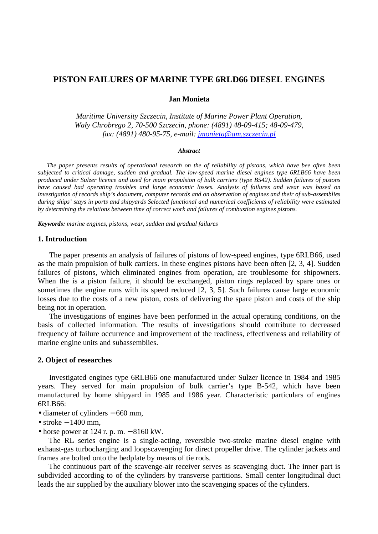# **PISTON FAILURES OF MARINE TYPE 6RLD66 DIESEL ENGINES**

#### **Jan Monieta**

*Maritime University Szczecin, Institute of Marine Power Plant Operation, Wały Chrobrego 2, 70-500 Szczecin, phone: (4891) 48-09-415; 48-09-479, fax: (4891) 480-95-75, e-mail: jmonieta@am.szczecin.pl*

#### *Abstract*

*The paper presents results of operational research on the of reliability of pistons, which have bee often been subjected to critical damage, sudden and gradual. The low-speed marine diesel engines type 6RLB66 have been produced under Sulzer licence and used for main propulsion of bulk carriers (type B542). Sudden failures of pistons have caused bad operating troubles and large economic losses. Analysis of failures and wear was based on investigation of records ship's document, computer records and on observation of engines and their of sub-assemblies during ships' stays in ports and shipyards Selected functional and numerical coefficients of reliability were estimated by determining the relations between time of correct work and failures of combustion engines pistons.* 

*Keywords: marine engines, pistons, wear, sudden and gradual failures* 

## **1. Introduction**

The paper presents an analysis of failures of pistons of low-speed engines, type 6RLB66, used as the main propulsion of bulk carriers. In these engines pistons have been often [2, 3, 4]. Sudden failures of pistons, which eliminated engines from operation, are troublesome for shipowners. When the is a piston failure, it should be exchanged, piston rings replaced by spare ones or sometimes the engine runs with its speed reduced [2, 3, 5]. Such failures cause large economic losses due to the costs of a new piston, costs of delivering the spare piston and costs of the ship being not in operation.

The investigations of engines have been performed in the actual operating conditions, on the basis of collected information. The results of investigations should contribute to decreased frequency of failure occurrence and improvement of the readiness, effectiveness and reliability of marine engine units and subassemblies.

## **2. Object of researches**

Investigated engines type 6RLB66 one manufactured under Sulzer licence in 1984 and 1985 years. They served for main propulsion of bulk carrier's type B-542, which have been manufactured by home shipyard in 1985 and 1986 year. Characteristic particulars of engines 6RLB66:

- diameter of cylinders − 660 mm,
- stroke − 1400 mm,
- horse power at  $124$  r. p. m.  $-8160$  kW.

The RL series engine is a single-acting, reversible two-stroke marine diesel engine with exhaust-gas turbocharging and loopscavenging for direct propeller drive. The cylinder jackets and frames are bolted onto the bedplate by means of tie rods.

The continuous part of the scavenge-air receiver serves as scavenging duct. The inner part is subdivided according to of the cylinders by transverse partitions. Small center longitudinal duct leads the air supplied by the auxiliary blower into the scavenging spaces of the cylinders.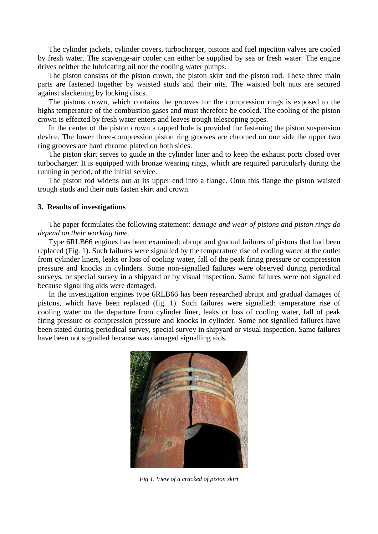The cylinder jackets, cylinder covers, turbocharger, pistons and fuel injection valves are cooled by fresh water. The scavenge-air cooler can either be supplied by sea or fresh water. The engine drives neither the lubricating oil nor the cooling water pumps.

 The piston consists of the piston crown, the piston skirt and the piston rod. These three main parts are fastened together by waisted studs and their nits. The waisted bolt nuts are secured against slackening by locking discs.

 The pistons crown, which contains the grooves for the compression rings is exposed to the highs temperature of the combustion gases and must therefore be cooled. The cooling of the piston crown is effected by fresh water enters and leaves trough telescoping pipes.

 In the center of the piston crown a tapped hole is provided for fastening the piston suspension device. The lower three-compression piston ring grooves are chromed on one side the upper two ring grooves are hard chrome plated on both sides.

 The piston skirt serves to guide in the cylinder liner and to keep the exhaust ports closed over turbocharger. It is equipped with bronze wearing rings, which are required particularly during the running in period, of the initial service.

 The piston rod widens out at its upper end into a flange. Onto this flange the piston waisted trough studs and their nuts fasten skirt and crown.

### **3. Results of investigations**

The paper formulates the following statement: *damage and wear of pistons and piston rings do depend on their working time.* 

Type 6RLB66 engines has been examined: abrupt and gradual failures of pistons that had been replaced (Fig. 1). Such failures were signalled by the temperature rise of cooling water at the outlet from cylinder liners, leaks or loss of cooling water, fall of the peak firing pressure or compression pressure and knocks in cylinders. Some non-signalled failures were observed during periodical surveys, or special survey in a shipyard or by visual inspection. Same failures were not signalled because signalling aids were damaged.

In the investigation engines type 6RLB66 has been researched abrupt and gradual damages of pistons, which have been replaced (fig. 1). Such failures were signalled: temperature rise of cooling water on the departure from cylinder liner, leaks or loss of cooling water, fall of peak firing pressure or compression pressure and knocks in cylinder. Some not signalled failures have been stated during periodical survey, special survey in shipyard or visual inspection. Same failures have been not signalled because was damaged signalling aids.



*Fig 1. View of a cracked of piston skirt*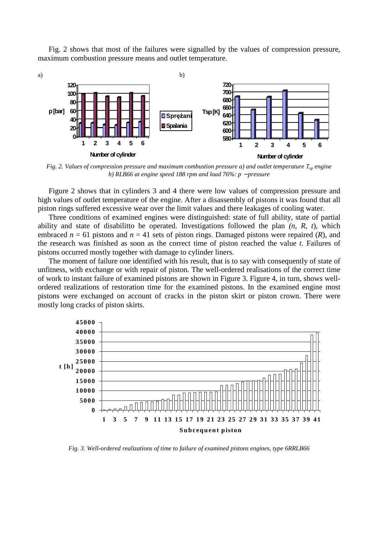Fig. 2 shows that most of the failures were signalled by the values of compression pressure, maximum combustion pressure means and outlet temperature.



*Fig. 2. Values of compression pressure and maximum combustion pressure a) and outlet temperature*  $T_{\rm w}$  *engine b) RLB66 at engine speed 188 rpm and load 76%: p − pressure* 

Figure 2 shows that in cylinders 3 and 4 there were low values of compression pressure and high values of outlet temperature of the engine. After a disassembly of pistons it was found that all piston rings suffered excessive wear over the limit values and there leakages of cooling water.

Three conditions of examined engines were distinguished: state of full ability, state of partial ability and state of disabilitto be operated. Investigations followed the plan *(n, R, t*), which embraced  $n = 61$  pistons and  $n = 41$  sets of piston rings. Damaged pistons were repaired (*R*), and the research was finished as soon as the correct time of piston reached the value *t*. Failures of pistons occurred mostly together with damage to cylinder liners.

The moment of failure one identified with his result, that is to say with consequently of state of unfitness, with exchange or with repair of piston. The well-ordered realisations of the correct time of work to instant failure of examined pistons are shown in Figure 3. Figure 4, in turn, shows wellordered realizations of restoration time for the examined pistons. In the examined engine most pistons were exchanged on account of cracks in the piston skirt or piston crown. There were mostly long cracks of piston skirts.



*Fig. 3. Well-ordered realizations of time to failure of examined pistons engines, type 6RRLB66*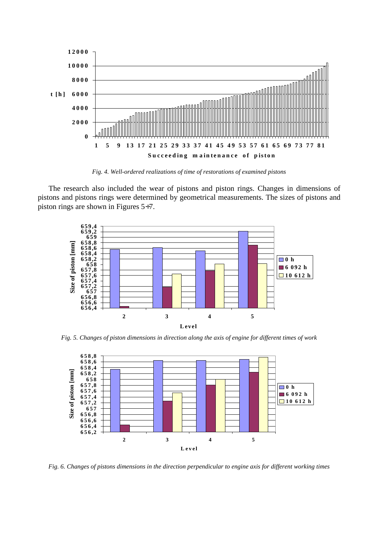

*Fig. 4. Well-ordered realizations of time of restorations of examined pistons* 

The research also included the wear of pistons and piston rings. Changes in dimensions of pistons and pistons rings were determined by geometrical measurements. The sizes of pistons and piston rings are shown in Figures 5÷7.



*Fig. 5. Changes of piston dimensions in direction along the axis of engine for different times of work*



*Fig. 6. Changes of pistons dimensions in the direction perpendicular to engine axis for different working times*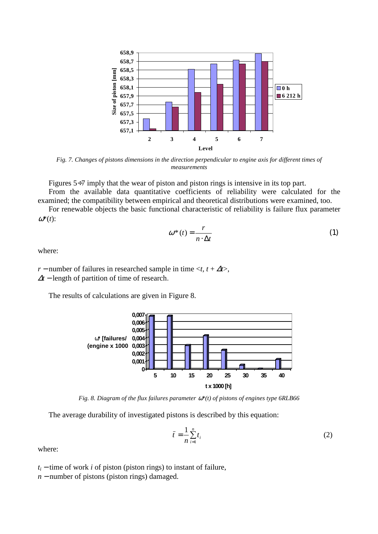

*Fig. 7. Changes of pistons dimensions in the direction perpendicular to engine axis for different times of measurements* 

Figures 5÷7 imply that the wear of piston and piston rings is intensive in its top part.

From the available data quantitative coefficients of reliability were calculated for the examined; the compatibility between empirical and theoretical distributions were examined, too.

 For renewable objects the basic functional characteristic of reliability is failure flux parameter  $\omega^*(t)$ :

$$
\omega^*(t) = \frac{r}{n \cdot \Delta t} \tag{1}
$$

where:

*r* − number of failures in researched sample in time  $\langle t, t + \Delta t \rangle$ , <sup>∆</sup>*t* − length of partition of time of research.

The results of calculations are given in Figure 8.



*Fig. 8. Diagram of the flux failures parameter* ω*\*(t) of pistons of engines type 6RLB66* 

The average durability of investigated pistons is described by this equation:

$$
\bar{t} = \frac{1}{n} \sum_{i=1}^{n} t_i
$$
 (2)

where:

 $t_i$  − time of work *i* of piston (piston rings) to instant of failure,

*n* − number of pistons (piston rings) damaged.